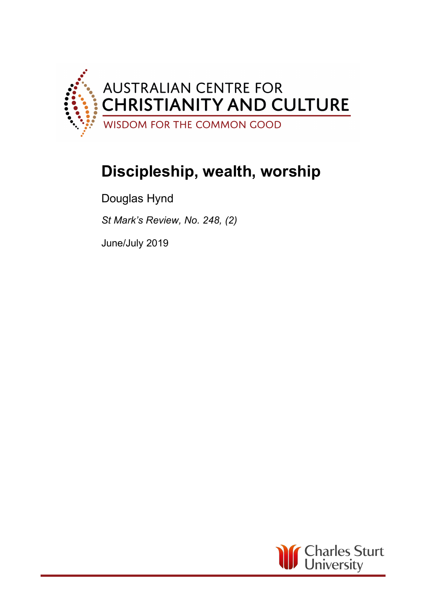

## **Discipleship, wealth, worship**

Douglas Hynd *St Mark's Review, No. 248, (2)*

June/July 2019

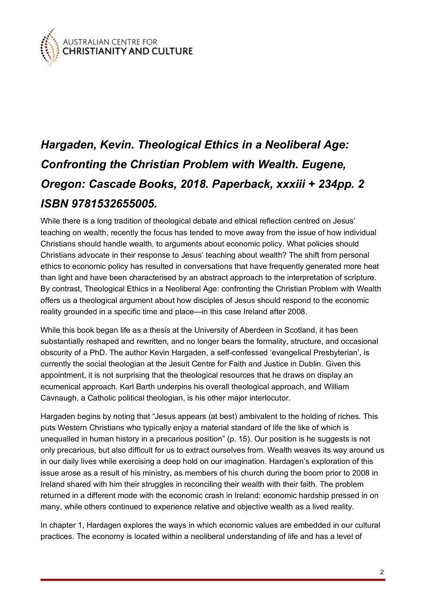

## *Hargaden, Kevin. Theological Ethics in a Neoliberal Age: Confronting the Christian Problem with Wealth. Eugene, Oregon: Cascade Books, 2018. Paperback, xxxiii + 234pp. 2 ISBN 9781532655005.*

While there is a long tradition of theological debate and ethical reflection centred on Jesus' teaching on wealth, recently the focus has tended to move away from the issue of how individual Christians should handle wealth, to arguments about economic policy. What policies should Christians advocate in their response to Jesus' teaching about wealth? The shift from personal ethics to economic policy has resulted in conversations that have frequently generated more heat than light and have been characterised by an abstract approach to the interpretation of scripture. By contrast, Theological Ethics in a Neoliberal Age: confronting the Christian Problem with Wealth offers us a theological argument about how disciples of Jesus should respond to the economic reality grounded in a specific time and place—in this case Ireland after 2008.

While this book began life as a thesis at the University of Aberdeen in Scotland, it has been substantially reshaped and rewritten, and no longer bears the formality, structure, and occasional obscurity of a PhD. The author Kevin Hargaden, a self-confessed 'evangelical Presbyterian', is currently the social theologian at the Jesuit Centre for Faith and Justice in Dublin. Given this appointment, it is not surprising that the theological resources that he draws on display an ecumenical approach. Karl Barth underpins his overall theological approach, and William Cavnaugh, a Catholic political theologian, is his other major interlocutor.

Hargaden begins by noting that "Jesus appears (at best) ambivalent to the holding of riches. This puts Western Christians who typically enjoy a material standard of life the like of which is unequalled in human history in a precarious position" (p. 15). Our position is he suggests is not only precarious, but also difficult for us to extract ourselves from. Wealth weaves its way around us in our daily lives while exercising a deep hold on our imagination. Hardagen's exploration of this issue arose as a result of his ministry, as members of his church during the boom prior to 2008 in Ireland shared with him their struggles in reconciling their wealth with their faith. The problem returned in a different mode with the economic crash in Ireland: economic hardship pressed in on many, while others continued to experience relative and objective wealth as a lived reality.

In chapter 1, Hardagen explores the ways in which economic values are embedded in our cultural practices. The economy is located within a neoliberal understanding of life and has a level of